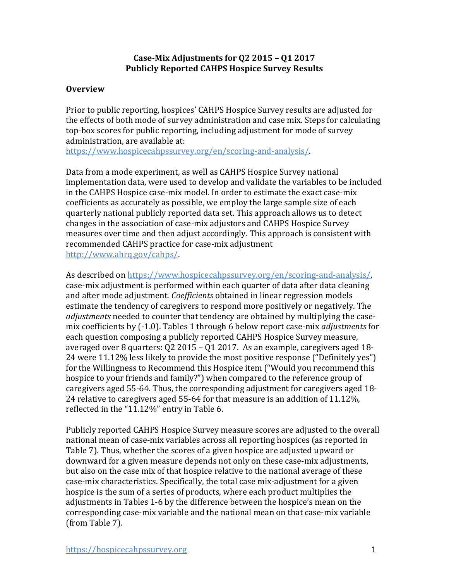## **Case-Mix Adjustments for Q2 2015 – Q1 2017 Publicly Reported CAHPS Hospice Survey Results**

## **Overview**

Prior to public reporting, hospices' CAHPS Hospice Survey results are adjusted for the effects of both mode of survey administration and case mix. Steps for calculating top-box scores for public reporting, including adjustment for mode of survey administration, are available at:

[https://www.hospicecahpssurvey.org/en/scoring-and-analysis/.](https://hospicecahpssurvey.org/en/public-reporting/scoring-and-analysis/)

Data from a mode experiment, as well as CAHPS Hospice Survey national implementation data, were used to develop and validate the variables to be included in the CAHPS Hospice case-mix model. In order to estimate the exact case-mix coefficients as accurately as possible, we employ the large sample size of each quarterly national publicly reported data set. This approach allows us to detect changes in the association of case-mix adjustors and CAHPS Hospice Survey measures over time and then adjust accordingly. This approach is consistent with recommended CAHPS practice for case-mix adjustment [http://www.ahrq.gov/cahps/.](https://www.ahrq.gov/cahps/)

As described on [https://www.hospicecahpssurvey.org/en/scoring-and-analysis/,](https://hospicecahpssurvey.org/en/public-reporting/scoring-and-analysis/) case-mix adjustment is performed within each quarter of data after data cleaning and after mode adjustment. *Coefficients* obtained in linear regression models estimate the tendency of caregivers to respond more positively or negatively. The *adjustments* needed to counter that tendency are obtained by multiplying the casemix coefficients by (-1.0). Tables 1 through 6 below report case-mix *adjustments* for each question composing a publicly reported CAHPS Hospice Survey measure, averaged over 8 quarters: Q2 2015 – Q1 2017. As an example, caregivers aged 18- 24 were 11.12% less likely to provide the most positive response ("Definitely yes") for the Willingness to Recommend this Hospice item ("Would you recommend this hospice to your friends and family?") when compared to the reference group of caregivers aged 55-64. Thus, the corresponding adjustment for caregivers aged 18- 24 relative to caregivers aged 55-64 for that measure is an addition of 11.12%, reflected in the "11.12%" entry in Table 6.

Publicly reported CAHPS Hospice Survey measure scores are adjusted to the overall national mean of case-mix variables across all reporting hospices (as reported in Table 7). Thus, whether the scores of a given hospice are adjusted upward or downward for a given measure depends not only on these case-mix adjustments, but also on the case mix of that hospice relative to the national average of these case-mix characteristics. Specifically, the total case mix-adjustment for a given hospice is the sum of a series of products, where each product multiplies the adjustments in Tables 1-6 by the difference between the hospice's mean on the corresponding case-mix variable and the national mean on that case-mix variable (from Table 7).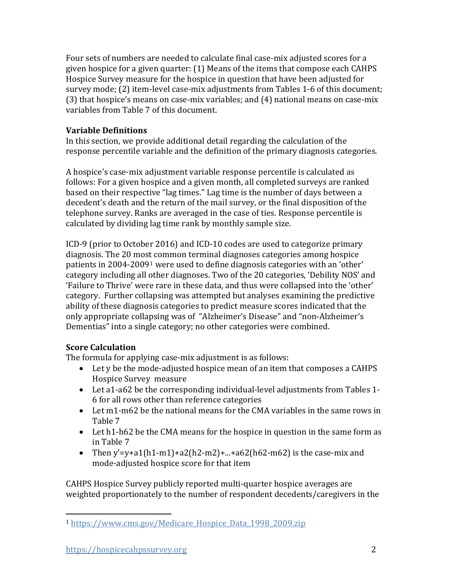Four sets of numbers are needed to calculate final case-mix adjusted scores for a given hospice for a given quarter: (1) Means of the items that compose each CAHPS Hospice Survey measure for the hospice in question that have been adjusted for survey mode; (2) item-level case-mix adjustments from Tables 1-6 of this document; (3) that hospice's means on case-mix variables; and (4) national means on case-mix variables from Table 7 of this document.

# **Variable Definitions**

In this section, we provide additional detail regarding the calculation of the response percentile variable and the definition of the primary diagnosis categories.

A hospice's case-mix adjustment variable response percentile is calculated as follows: For a given hospice and a given month, all completed surveys are ranked based on their respective "lag times." Lag time is the number of days between a decedent's death and the return of the mail survey, or the final disposition of the telephone survey. Ranks are averaged in the case of ties. Response percentile is calculated by dividing lag time rank by monthly sample size.

ICD-9 (prior to October 2016) and ICD-10 codes are used to categorize primary diagnosis. The 20 most common terminal diagnoses categories among hospice patients in 2004-2009[1](#page-1-0) were used to define diagnosis categories with an 'other' category including all other diagnoses. Two of the 20 categories, 'Debility NOS' and 'Failure to Thrive' were rare in these data, and thus were collapsed into the 'other' category. Further collapsing was attempted but analyses examining the predictive ability of these diagnosis categories to predict measure scores indicated that the only appropriate collapsing was of "Alzheimer's Disease" and "non-Alzheimer's Dementias" into a single category; no other categories were combined.

# **Score Calculation**

The formula for applying case-mix adjustment is as follows:

- Let y be the mode-adjusted hospice mean of an item that composes a CAHPS Hospice Survey measure
- Let a1-a62 be the corresponding individual-level adjustments from Tables 1- 6 for all rows other than reference categories
- Let m1-m62 be the national means for the CMA variables in the same rows in Table 7
- Let h1-h62 be the CMA means for the hospice in question in the same form as in Table 7
- Then y'=y+a1(h1-m1)+a2(h2-m2)+...+a62(h62-m62) is the case-mix and mode-adjusted hospice score for that item

CAHPS Hospice Survey publicly reported multi-quarter hospice averages are weighted proportionately to the number of respondent decedents/caregivers in the

<span id="page-1-0"></span><sup>1</sup> [https://www.cms.gov/Medicare\\_Hospice\\_Data\\_1998\\_2009.zip](https://www.cms.gov/Medicare/Medicare-Fee-for-Service-Payment/Hospice/Downloads/Medicare_Hospice_Data_1998_2009.zip)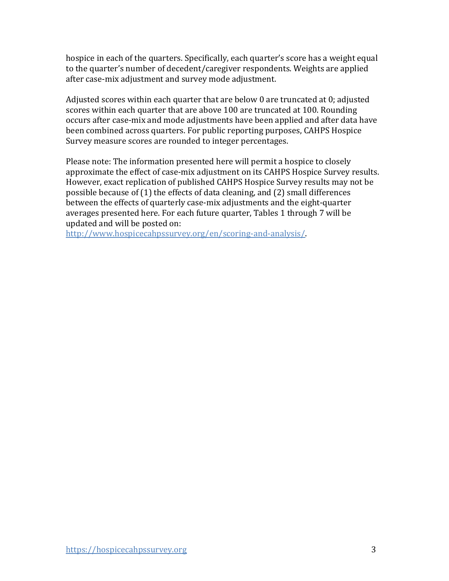hospice in each of the quarters. Specifically, each quarter's score has a weight equal to the quarter's number of decedent/caregiver respondents. Weights are applied after case-mix adjustment and survey mode adjustment.

Adjusted scores within each quarter that are below 0 are truncated at 0; adjusted scores within each quarter that are above 100 are truncated at 100. Rounding occurs after case-mix and mode adjustments have been applied and after data have been combined across quarters. For public reporting purposes, CAHPS Hospice Survey measure scores are rounded to integer percentages.

Please note: The information presented here will permit a hospice to closely approximate the effect of case-mix adjustment on its CAHPS Hospice Survey results. However, exact replication of published CAHPS Hospice Survey results may not be possible because of (1) the effects of data cleaning, and (2) small differences between the effects of quarterly case-mix adjustments and the eight-quarter averages presented here. For each future quarter, Tables 1 through 7 will be updated and will be posted on:

[http://www.hospicecahpssurvey.org/en/scoring-and-analysis/.](https://hospicecahpssurvey.org/en/public-reporting/scoring-and-analysis/)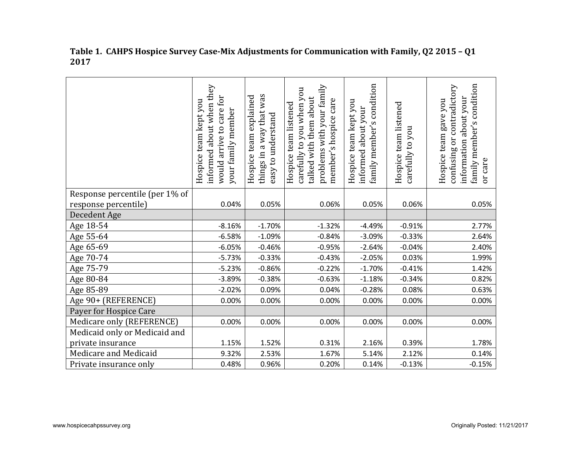|                                | informed about when they<br>would arrive to care for<br>Hospice team kept you<br>your family member | vas<br>Hospice team explained<br>things in a way that<br>easy to understand | problems with your family<br>carefully to you when you<br>talked with them about<br>member's hospice care<br>Hospice team listened | condition<br>team kept you<br>informed about your<br>family member's<br>Hospice | Hospice team listened<br>carefully to you | family member's condition<br>confusing or contradictory<br>information about your<br>Hospice team gave you<br>or care |
|--------------------------------|-----------------------------------------------------------------------------------------------------|-----------------------------------------------------------------------------|------------------------------------------------------------------------------------------------------------------------------------|---------------------------------------------------------------------------------|-------------------------------------------|-----------------------------------------------------------------------------------------------------------------------|
| Response percentile (per 1% of |                                                                                                     |                                                                             |                                                                                                                                    |                                                                                 |                                           |                                                                                                                       |
| response percentile)           | 0.04%                                                                                               | 0.05%                                                                       | 0.06%                                                                                                                              | 0.05%                                                                           | 0.06%                                     | 0.05%                                                                                                                 |
| Decedent Age                   |                                                                                                     |                                                                             |                                                                                                                                    |                                                                                 |                                           |                                                                                                                       |
| Age 18-54                      | $-8.16%$                                                                                            | $-1.70%$                                                                    | $-1.32%$                                                                                                                           | $-4.49%$                                                                        | $-0.91%$                                  | 2.77%                                                                                                                 |
| Age 55-64                      | $-6.58%$                                                                                            | $-1.09%$                                                                    | $-0.84%$                                                                                                                           | $-3.09%$                                                                        | $-0.33%$                                  | 2.64%                                                                                                                 |
| Age 65-69                      | $-6.05%$                                                                                            | $-0.46%$                                                                    | $-0.95%$                                                                                                                           | $-2.64%$                                                                        | $-0.04%$                                  | 2.40%                                                                                                                 |
| Age 70-74                      | $-5.73%$                                                                                            | $-0.33%$                                                                    | $-0.43%$                                                                                                                           | $-2.05%$                                                                        | 0.03%                                     | 1.99%                                                                                                                 |
| Age 75-79                      | $-5.23%$                                                                                            | $-0.86%$                                                                    | $-0.22%$                                                                                                                           | $-1.70%$                                                                        | $-0.41%$                                  | 1.42%                                                                                                                 |
| Age 80-84                      | $-3.89%$                                                                                            | $-0.38%$                                                                    | $-0.63%$                                                                                                                           | $-1.18%$                                                                        | $-0.34%$                                  | 0.82%                                                                                                                 |
| Age 85-89                      | $-2.02%$                                                                                            | 0.09%                                                                       | 0.04%                                                                                                                              | $-0.28%$                                                                        | 0.08%                                     | 0.63%                                                                                                                 |
| Age 90+ (REFERENCE)            | 0.00%                                                                                               | 0.00%                                                                       | 0.00%                                                                                                                              | 0.00%                                                                           | 0.00%                                     | 0.00%                                                                                                                 |
| Payer for Hospice Care         |                                                                                                     |                                                                             |                                                                                                                                    |                                                                                 |                                           |                                                                                                                       |
| Medicare only (REFERENCE)      | 0.00%                                                                                               | 0.00%                                                                       | 0.00%                                                                                                                              | 0.00%                                                                           | 0.00%                                     | 0.00%                                                                                                                 |
| Medicaid only or Medicaid and  |                                                                                                     |                                                                             |                                                                                                                                    |                                                                                 |                                           |                                                                                                                       |
| private insurance              | 1.15%                                                                                               | 1.52%                                                                       | 0.31%                                                                                                                              | 2.16%                                                                           | 0.39%                                     | 1.78%                                                                                                                 |
| Medicare and Medicaid          | 9.32%                                                                                               | 2.53%                                                                       | 1.67%                                                                                                                              | 5.14%                                                                           | 2.12%                                     | 0.14%                                                                                                                 |
| Private insurance only         | 0.48%                                                                                               | 0.96%                                                                       | 0.20%                                                                                                                              | 0.14%                                                                           | $-0.13%$                                  | $-0.15%$                                                                                                              |

#### **Table 1. CAHPS Hospice Survey Case-Mix Adjustments for Communication with Family, Q2 2015 – Q1 2017**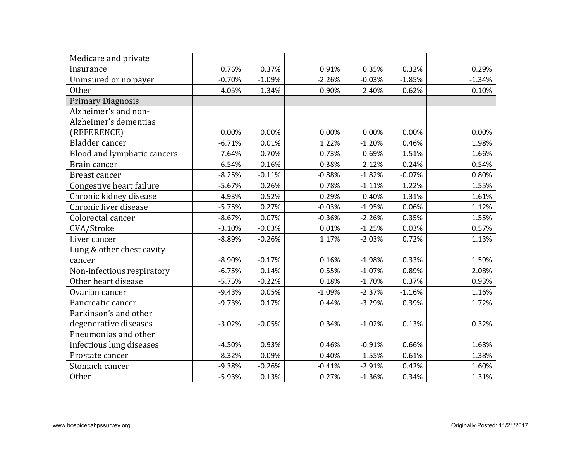| Medicare and private        |          |          |          |          |          |          |
|-----------------------------|----------|----------|----------|----------|----------|----------|
| insurance                   | 0.76%    | 0.37%    | 0.91%    | 0.35%    | 0.32%    | 0.29%    |
| Uninsured or no payer       | $-0.70%$ | $-1.09%$ | $-2.26%$ | $-0.03%$ | $-1.85%$ | $-1.34%$ |
| <b>Other</b>                | 4.05%    | 1.34%    | 0.90%    | 2.40%    | 0.62%    | $-0.10%$ |
| <b>Primary Diagnosis</b>    |          |          |          |          |          |          |
| Alzheimer's and non-        |          |          |          |          |          |          |
| Alzheimer's dementias       |          |          |          |          |          |          |
| (REFERENCE)                 | 0.00%    | 0.00%    | 0.00%    | 0.00%    | 0.00%    | 0.00%    |
| Bladder cancer              | $-6.71%$ | 0.01%    | 1.22%    | $-1.20%$ | 0.46%    | 1.98%    |
| Blood and lymphatic cancers | $-7.64%$ | 0.70%    | 0.73%    | $-0.69%$ | 1.51%    | 1.66%    |
| Brain cancer                | $-6.54%$ | $-0.16%$ | 0.38%    | $-2.12%$ | 0.24%    | 0.54%    |
| <b>Breast cancer</b>        | $-8.25%$ | $-0.11%$ | $-0.88%$ | $-1.82%$ | $-0.07%$ | 0.80%    |
| Congestive heart failure    | $-5.67%$ | 0.26%    | 0.78%    | $-1.11%$ | 1.22%    | 1.55%    |
| Chronic kidney disease      | $-4.93%$ | 0.52%    | $-0.29%$ | $-0.40%$ | 1.31%    | 1.61%    |
| Chronic liver disease       | $-5.75%$ | 0.27%    | $-0.03%$ | $-1.95%$ | 0.06%    | 1.12%    |
| Colorectal cancer           | $-8.67%$ | 0.07%    | $-0.36%$ | $-2.26%$ | 0.35%    | 1.55%    |
| CVA/Stroke                  | $-3.10%$ | $-0.03%$ | 0.01%    | $-1.25%$ | 0.03%    | 0.57%    |
| Liver cancer                | $-8.89%$ | $-0.26%$ | 1.17%    | $-2.03%$ | 0.72%    | 1.13%    |
| Lung & other chest cavity   |          |          |          |          |          |          |
| cancer                      | $-8.90%$ | $-0.17%$ | 0.16%    | $-1.98%$ | 0.33%    | 1.59%    |
| Non-infectious respiratory  | $-6.75%$ | 0.14%    | 0.55%    | $-1.07%$ | 0.89%    | 2.08%    |
| Other heart disease         | $-5.75%$ | $-0.22%$ | 0.18%    | $-1.70%$ | 0.37%    | 0.93%    |
| Ovarian cancer              | $-9.43%$ | 0.05%    | $-1.09%$ | $-2.37%$ | $-1.16%$ | 1.16%    |
| Pancreatic cancer           | $-9.73%$ | 0.17%    | 0.44%    | $-3.29%$ | 0.39%    | 1.72%    |
| Parkinson's and other       |          |          |          |          |          |          |
| degenerative diseases       | $-3.02%$ | $-0.05%$ | 0.34%    | $-1.02%$ | 0.13%    | 0.32%    |
| Pneumonias and other        |          |          |          |          |          |          |
| infectious lung diseases    | $-4.50%$ | 0.93%    | 0.46%    | $-0.91%$ | 0.66%    | 1.68%    |
| Prostate cancer             | $-8.32%$ | $-0.09%$ | 0.40%    | $-1.55%$ | 0.61%    | 1.38%    |
| Stomach cancer              | $-9.38%$ | $-0.26%$ | $-0.41%$ | $-2.91%$ | 0.42%    | 1.60%    |
| <b>Other</b>                | $-5.93%$ | 0.13%    | 0.27%    | $-1.36%$ | 0.34%    | 1.31%    |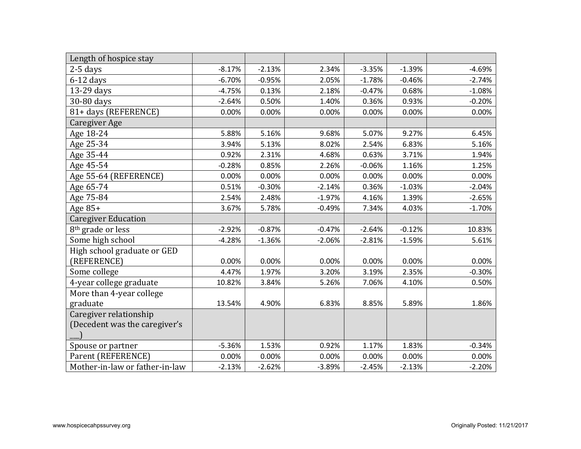| Length of hospice stay         |          |          |          |          |          |          |
|--------------------------------|----------|----------|----------|----------|----------|----------|
| $2-5$ days                     | $-8.17%$ | $-2.13%$ | 2.34%    | $-3.35%$ | $-1.39%$ | $-4.69%$ |
| $6-12$ days                    | $-6.70%$ | $-0.95%$ | 2.05%    | $-1.78%$ | $-0.46%$ | $-2.74%$ |
| 13-29 days                     | $-4.75%$ | 0.13%    | 2.18%    | $-0.47%$ | 0.68%    | $-1.08%$ |
| 30-80 days                     | $-2.64%$ | 0.50%    | 1.40%    | 0.36%    | 0.93%    | $-0.20%$ |
| 81+ days (REFERENCE)           | 0.00%    | 0.00%    | 0.00%    | 0.00%    | 0.00%    | 0.00%    |
| Caregiver Age                  |          |          |          |          |          |          |
| Age 18-24                      | 5.88%    | 5.16%    | 9.68%    | 5.07%    | 9.27%    | 6.45%    |
| Age 25-34                      | 3.94%    | 5.13%    | 8.02%    | 2.54%    | 6.83%    | 5.16%    |
| Age 35-44                      | 0.92%    | 2.31%    | 4.68%    | 0.63%    | 3.71%    | 1.94%    |
| Age 45-54                      | $-0.28%$ | 0.85%    | 2.26%    | $-0.06%$ | 1.16%    | 1.25%    |
| Age 55-64 (REFERENCE)          | 0.00%    | 0.00%    | 0.00%    | 0.00%    | 0.00%    | 0.00%    |
| Age 65-74                      | 0.51%    | $-0.30%$ | $-2.14%$ | 0.36%    | $-1.03%$ | $-2.04%$ |
| Age 75-84                      | 2.54%    | 2.48%    | $-1.97%$ | 4.16%    | 1.39%    | $-2.65%$ |
| Age $85+$                      | 3.67%    | 5.78%    | $-0.49%$ | 7.34%    | 4.03%    | $-1.70%$ |
| <b>Caregiver Education</b>     |          |          |          |          |          |          |
| 8 <sup>th</sup> grade or less  | $-2.92%$ | $-0.87%$ | $-0.47%$ | $-2.64%$ | $-0.12%$ | 10.83%   |
| Some high school               | $-4.28%$ | $-1.36%$ | $-2.06%$ | $-2.81%$ | $-1.59%$ | 5.61%    |
| High school graduate or GED    |          |          |          |          |          |          |
| (REFERENCE)                    | 0.00%    | 0.00%    | 0.00%    | 0.00%    | 0.00%    | 0.00%    |
| Some college                   | 4.47%    | 1.97%    | 3.20%    | 3.19%    | 2.35%    | $-0.30%$ |
| 4-year college graduate        | 10.82%   | 3.84%    | 5.26%    | 7.06%    | 4.10%    | 0.50%    |
| More than 4-year college       |          |          |          |          |          |          |
| graduate                       | 13.54%   | 4.90%    | 6.83%    | 8.85%    | 5.89%    | 1.86%    |
| Caregiver relationship         |          |          |          |          |          |          |
| (Decedent was the caregiver's  |          |          |          |          |          |          |
|                                |          |          |          |          |          |          |
| Spouse or partner              | $-5.36%$ | 1.53%    | 0.92%    | 1.17%    | 1.83%    | $-0.34%$ |
| Parent (REFERENCE)             | 0.00%    | 0.00%    | 0.00%    | 0.00%    | 0.00%    | 0.00%    |
| Mother-in-law or father-in-law | $-2.13%$ | $-2.62%$ | $-3.89%$ | $-2.45%$ | $-2.13%$ | $-2.20%$ |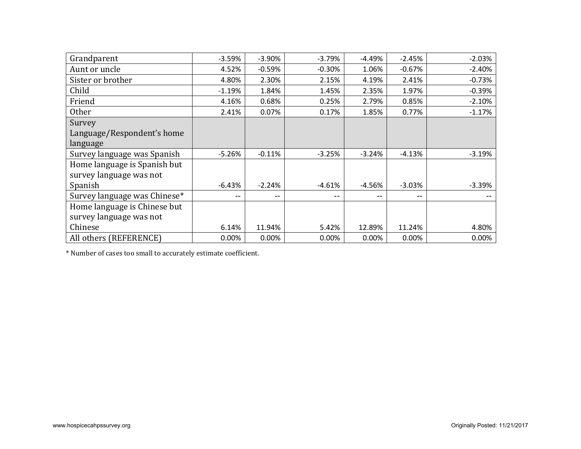| Grandparent                  | $-3.59%$ | $-3.90%$ | $-3.79%$ | $-4.49%$ | $-2.45%$ | $-2.03%$ |
|------------------------------|----------|----------|----------|----------|----------|----------|
| Aunt or uncle                | 4.52%    | $-0.59%$ | $-0.30%$ | 1.06%    | $-0.67%$ | $-2.40%$ |
| Sister or brother            | 4.80%    | 2.30%    | 2.15%    | 4.19%    | 2.41%    | $-0.73%$ |
| Child                        | $-1.19%$ | 1.84%    | 1.45%    | 2.35%    | 1.97%    | $-0.39%$ |
| Friend                       | 4.16%    | 0.68%    | 0.25%    | 2.79%    | 0.85%    | $-2.10%$ |
| <b>Other</b>                 | 2.41%    | 0.07%    | 0.17%    | 1.85%    | 0.77%    | $-1.17%$ |
| Survey                       |          |          |          |          |          |          |
| Language/Respondent's home   |          |          |          |          |          |          |
| language                     |          |          |          |          |          |          |
| Survey language was Spanish  | $-5.26%$ | $-0.11%$ | $-3.25%$ | $-3.24%$ | $-4.13%$ | $-3.19%$ |
| Home language is Spanish but |          |          |          |          |          |          |
| survey language was not      |          |          |          |          |          |          |
| Spanish                      | $-6.43%$ | $-2.24%$ | $-4.61%$ | $-4.56%$ | $-3.03%$ | $-3.39%$ |
| Survey language was Chinese* | $- -$    | $- -$    | $- -$    | $- -$    | $- -$    |          |
| Home language is Chinese but |          |          |          |          |          |          |
| survey language was not      |          |          |          |          |          |          |
| Chinese                      | 6.14%    | 11.94%   | 5.42%    | 12.89%   | 11.24%   | 4.80%    |
| All others (REFERENCE)       | 0.00%    | 0.00%    | 0.00%    | 0.00%    | 0.00%    | 0.00%    |
|                              |          |          |          |          |          |          |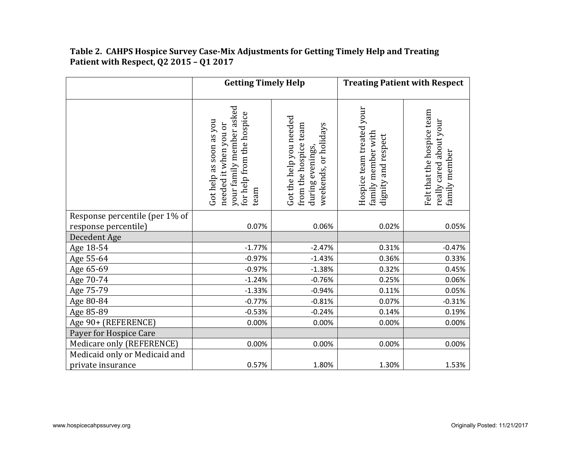|                                | <b>Getting Timely Help</b>                                                                                        |                                                                                              |                                                                        | <b>Treating Patient with Respect</b>                                   |
|--------------------------------|-------------------------------------------------------------------------------------------------------------------|----------------------------------------------------------------------------------------------|------------------------------------------------------------------------|------------------------------------------------------------------------|
|                                | your family member asked<br>for help from the hospice<br>Got help as soon as you<br>needed it when you or<br>team | Got the help you needed<br>from the hospice team<br>weekends, or holidays<br>during evenings | Hospice team treated your<br>family member with<br>dignity and respect | Felt that the hospice team<br>really cared about your<br>family member |
| Response percentile (per 1% of |                                                                                                                   |                                                                                              |                                                                        |                                                                        |
| response percentile)           | 0.07%                                                                                                             | 0.06%                                                                                        | 0.02%                                                                  | 0.05%                                                                  |
| Decedent Age                   |                                                                                                                   |                                                                                              |                                                                        |                                                                        |
| Age 18-54                      | $-1.77%$                                                                                                          | $-2.47%$                                                                                     | 0.31%                                                                  | $-0.47%$                                                               |
| Age 55-64                      | $-0.97%$                                                                                                          | $-1.43%$                                                                                     | 0.36%                                                                  | 0.33%                                                                  |
| Age 65-69                      | $-0.97%$                                                                                                          | $-1.38%$                                                                                     | 0.32%                                                                  | 0.45%                                                                  |
| Age 70-74                      | $-1.24%$                                                                                                          | $-0.76%$                                                                                     | 0.25%                                                                  | 0.06%                                                                  |
| Age 75-79                      | $-1.33%$                                                                                                          | $-0.94%$                                                                                     | 0.11%                                                                  | 0.05%                                                                  |
| Age 80-84                      | $-0.77%$                                                                                                          | $-0.81%$                                                                                     | 0.07%                                                                  | $-0.31%$                                                               |
| Age 85-89                      | $-0.53%$                                                                                                          | $-0.24%$                                                                                     | 0.14%                                                                  | 0.19%                                                                  |
| Age 90+ (REFERENCE)            | 0.00%                                                                                                             | 0.00%                                                                                        | 0.00%                                                                  | 0.00%                                                                  |
| Payer for Hospice Care         |                                                                                                                   |                                                                                              |                                                                        |                                                                        |
| Medicare only (REFERENCE)      | 0.00%                                                                                                             | 0.00%                                                                                        | 0.00%                                                                  | 0.00%                                                                  |
| Medicaid only or Medicaid and  |                                                                                                                   |                                                                                              |                                                                        |                                                                        |
| private insurance              | 0.57%                                                                                                             | 1.80%                                                                                        | 1.30%                                                                  | 1.53%                                                                  |

## **Table 2. CAHPS Hospice Survey Case-Mix Adjustments for Getting Timely Help and Treating Patient with Respect, Q2 2015 – Q1 2017**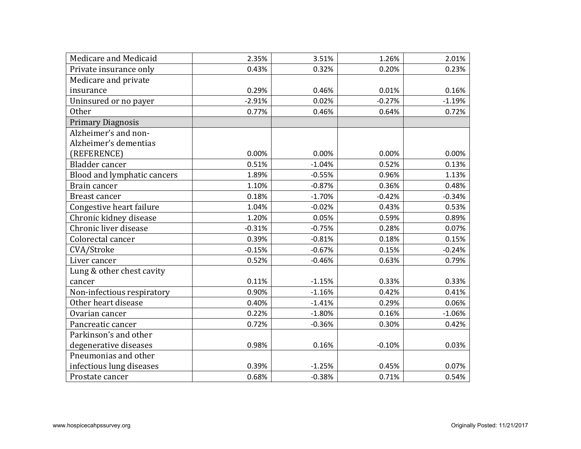| Medicare and Medicaid       | 2.35%    | 3.51%    | 1.26%    | 2.01%    |
|-----------------------------|----------|----------|----------|----------|
| Private insurance only      | 0.43%    | 0.32%    | 0.20%    | 0.23%    |
| Medicare and private        |          |          |          |          |
| insurance                   | 0.29%    | 0.46%    | 0.01%    | 0.16%    |
| Uninsured or no payer       | $-2.91%$ | 0.02%    | $-0.27%$ | $-1.19%$ |
| Other                       | 0.77%    | 0.46%    | 0.64%    | 0.72%    |
| <b>Primary Diagnosis</b>    |          |          |          |          |
| Alzheimer's and non-        |          |          |          |          |
| Alzheimer's dementias       |          |          |          |          |
| (REFERENCE)                 | 0.00%    | 0.00%    | 0.00%    | 0.00%    |
| Bladder cancer              | 0.51%    | $-1.04%$ | 0.52%    | 0.13%    |
| Blood and lymphatic cancers | 1.89%    | $-0.55%$ | 0.96%    | 1.13%    |
| Brain cancer                | 1.10%    | $-0.87%$ | 0.36%    | 0.48%    |
| Breast cancer               | 0.18%    | $-1.70%$ | $-0.42%$ | $-0.34%$ |
| Congestive heart failure    | 1.04%    | $-0.02%$ | 0.43%    | 0.53%    |
| Chronic kidney disease      | 1.20%    | 0.05%    | 0.59%    | 0.89%    |
| Chronic liver disease       | $-0.31%$ | $-0.75%$ | 0.28%    | 0.07%    |
| Colorectal cancer           | 0.39%    | $-0.81%$ | 0.18%    | 0.15%    |
| CVA/Stroke                  | $-0.15%$ | $-0.67%$ | 0.15%    | $-0.24%$ |
| Liver cancer                | 0.52%    | $-0.46%$ | 0.63%    | 0.79%    |
| Lung & other chest cavity   |          |          |          |          |
| cancer                      | 0.11%    | $-1.15%$ | 0.33%    | 0.33%    |
| Non-infectious respiratory  | 0.90%    | $-1.16%$ | 0.42%    | 0.41%    |
| Other heart disease         | 0.40%    | $-1.41%$ | 0.29%    | 0.06%    |
| Ovarian cancer              | 0.22%    | $-1.80%$ | 0.16%    | $-1.06%$ |
| Pancreatic cancer           | 0.72%    | $-0.36%$ | 0.30%    | 0.42%    |
| Parkinson's and other       |          |          |          |          |
| degenerative diseases       | 0.98%    | 0.16%    | $-0.10%$ | 0.03%    |
| Pneumonias and other        |          |          |          |          |
| infectious lung diseases    | 0.39%    | $-1.25%$ | 0.45%    | 0.07%    |
| Prostate cancer             | 0.68%    | $-0.38%$ | 0.71%    | 0.54%    |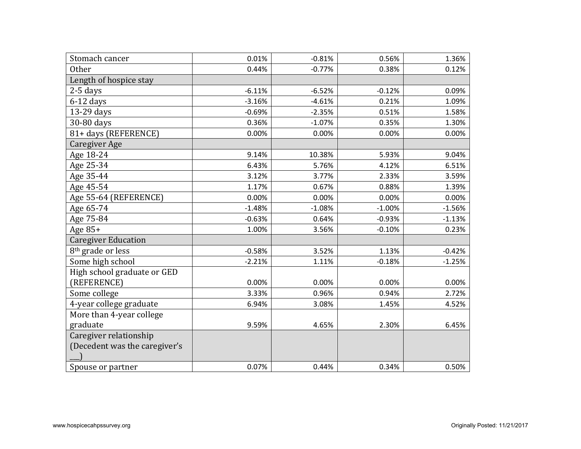| Stomach cancer                | 0.01%    | $-0.81%$ | 0.56%    | 1.36%    |
|-------------------------------|----------|----------|----------|----------|
| <b>Other</b>                  | 0.44%    | $-0.77%$ | 0.38%    | 0.12%    |
| Length of hospice stay        |          |          |          |          |
| $2-5$ days                    | $-6.11%$ | $-6.52%$ | $-0.12%$ | 0.09%    |
| $6-12$ days                   | $-3.16%$ | $-4.61%$ | 0.21%    | 1.09%    |
| 13-29 days                    | $-0.69%$ | $-2.35%$ | 0.51%    | 1.58%    |
| 30-80 days                    | 0.36%    | $-1.07%$ | 0.35%    | 1.30%    |
| 81+ days (REFERENCE)          | 0.00%    | 0.00%    | 0.00%    | 0.00%    |
| Caregiver Age                 |          |          |          |          |
| Age 18-24                     | 9.14%    | 10.38%   | 5.93%    | 9.04%    |
| Age 25-34                     | 6.43%    | 5.76%    | 4.12%    | 6.51%    |
| Age 35-44                     | 3.12%    | 3.77%    | 2.33%    | 3.59%    |
| Age 45-54                     | 1.17%    | 0.67%    | 0.88%    | 1.39%    |
| Age 55-64 (REFERENCE)         | 0.00%    | 0.00%    | 0.00%    | 0.00%    |
| Age 65-74                     | $-1.48%$ | $-1.08%$ | $-1.00%$ | $-1.56%$ |
| Age 75-84                     | $-0.63%$ | 0.64%    | $-0.93%$ | $-1.13%$ |
| Age 85+                       | 1.00%    | 3.56%    | $-0.10%$ | 0.23%    |
| <b>Caregiver Education</b>    |          |          |          |          |
| 8 <sup>th</sup> grade or less | $-0.58%$ | 3.52%    | 1.13%    | $-0.42%$ |
| Some high school              | $-2.21%$ | 1.11%    | $-0.18%$ | $-1.25%$ |
| High school graduate or GED   |          |          |          |          |
| (REFERENCE)                   | 0.00%    | 0.00%    | 0.00%    | 0.00%    |
| Some college                  | 3.33%    | 0.96%    | 0.94%    | 2.72%    |
| 4-year college graduate       | 6.94%    | 3.08%    | 1.45%    | 4.52%    |
| More than 4-year college      |          |          |          |          |
| graduate                      | 9.59%    | 4.65%    | 2.30%    | 6.45%    |
| Caregiver relationship        |          |          |          |          |
| (Decedent was the caregiver's |          |          |          |          |
|                               |          |          |          |          |
| Spouse or partner             | 0.07%    | 0.44%    | 0.34%    | 0.50%    |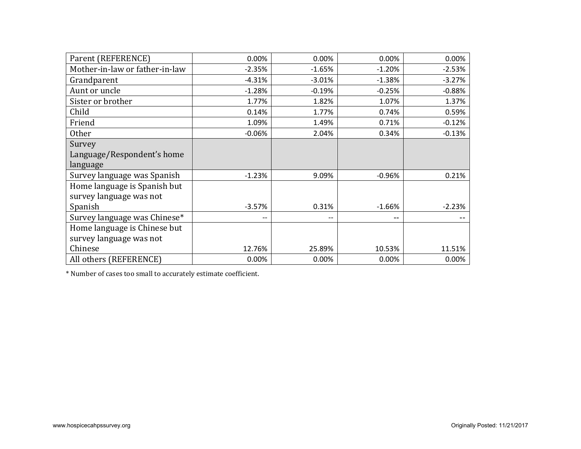| Parent (REFERENCE)             | 0.00%    | 0.00%    | 0.00%    | 0.00%    |
|--------------------------------|----------|----------|----------|----------|
| Mother-in-law or father-in-law | $-2.35%$ | $-1.65%$ | $-1.20%$ | $-2.53%$ |
| Grandparent                    | $-4.31%$ | $-3.01%$ | $-1.38%$ | $-3.27%$ |
| Aunt or uncle                  | $-1.28%$ | $-0.19%$ | $-0.25%$ | $-0.88%$ |
| Sister or brother              | 1.77%    | 1.82%    | 1.07%    | 1.37%    |
| Child                          | 0.14%    | 1.77%    | 0.74%    | 0.59%    |
| Friend                         | 1.09%    | 1.49%    | 0.71%    | $-0.12%$ |
| <b>Other</b>                   | $-0.06%$ | 2.04%    | 0.34%    | $-0.13%$ |
| Survey                         |          |          |          |          |
| Language/Respondent's home     |          |          |          |          |
| language                       |          |          |          |          |
| Survey language was Spanish    | $-1.23%$ | 9.09%    | $-0.96%$ | 0.21%    |
| Home language is Spanish but   |          |          |          |          |
| survey language was not        |          |          |          |          |
| Spanish                        | $-3.57%$ | 0.31%    | $-1.66%$ | $-2.23%$ |
| Survey language was Chinese*   | --       | $-\,-$   | --       |          |
| Home language is Chinese but   |          |          |          |          |
| survey language was not        |          |          |          |          |
| Chinese                        | 12.76%   | 25.89%   | 10.53%   | 11.51%   |
| All others (REFERENCE)         | 0.00%    | 0.00%    | 0.00%    | 0.00%    |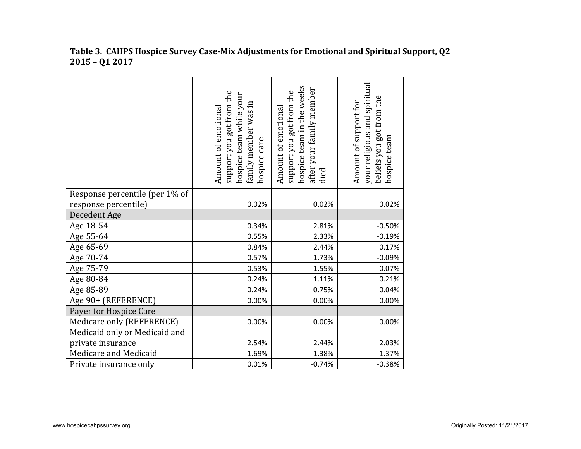|                                | support you got from the<br>hospice team while your<br>family member was in<br>Amount of emotional<br>hospice care | hospice team in the weeks<br>after your family member<br>support you got from the<br>Amount of emotional<br>died | your religious and spiritual<br>beliefs you got from the<br>Amount of support for<br>hospice team |
|--------------------------------|--------------------------------------------------------------------------------------------------------------------|------------------------------------------------------------------------------------------------------------------|---------------------------------------------------------------------------------------------------|
| Response percentile (per 1% of |                                                                                                                    |                                                                                                                  |                                                                                                   |
| response percentile)           | 0.02%                                                                                                              | 0.02%                                                                                                            | 0.02%                                                                                             |
| Decedent Age                   |                                                                                                                    |                                                                                                                  |                                                                                                   |
| Age 18-54                      | 0.34%                                                                                                              | 2.81%                                                                                                            | $-0.50%$                                                                                          |
| Age 55-64                      | 0.55%                                                                                                              | 2.33%                                                                                                            | $-0.19%$                                                                                          |
| Age 65-69                      | 0.84%                                                                                                              | 2.44%                                                                                                            | 0.17%                                                                                             |
| Age 70-74                      | 0.57%                                                                                                              | 1.73%                                                                                                            | $-0.09%$                                                                                          |
| Age 75-79                      | 0.53%                                                                                                              | 1.55%                                                                                                            | 0.07%                                                                                             |
| Age 80-84                      | 0.24%                                                                                                              | 1.11%                                                                                                            | 0.21%                                                                                             |
| Age 85-89                      | 0.24%                                                                                                              | 0.75%                                                                                                            | 0.04%                                                                                             |
| Age 90+ (REFERENCE)            | 0.00%                                                                                                              | 0.00%                                                                                                            | 0.00%                                                                                             |
| Payer for Hospice Care         |                                                                                                                    |                                                                                                                  |                                                                                                   |
| Medicare only (REFERENCE)      | 0.00%                                                                                                              | 0.00%                                                                                                            | 0.00%                                                                                             |
| Medicaid only or Medicaid and  |                                                                                                                    |                                                                                                                  |                                                                                                   |
| private insurance              | 2.54%                                                                                                              | 2.44%                                                                                                            | 2.03%                                                                                             |
| Medicare and Medicaid          | 1.69%                                                                                                              | 1.38%                                                                                                            | 1.37%                                                                                             |
| Private insurance only         | 0.01%                                                                                                              | $-0.74%$                                                                                                         | $-0.38%$                                                                                          |

## **Table 3. CAHPS Hospice Survey Case-Mix Adjustments for Emotional and Spiritual Support, Q2 2015 – Q1 2017**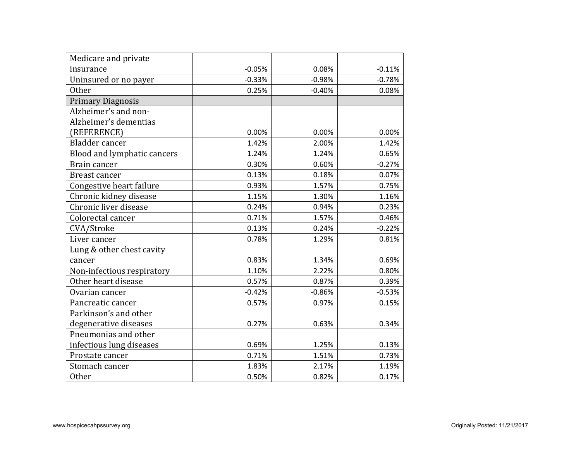| Medicare and private        |          |          |          |
|-----------------------------|----------|----------|----------|
| insurance                   | $-0.05%$ | 0.08%    | $-0.11%$ |
| Uninsured or no payer       | $-0.33%$ | $-0.98%$ | $-0.78%$ |
| <b>Other</b>                | 0.25%    | $-0.40%$ | 0.08%    |
| <b>Primary Diagnosis</b>    |          |          |          |
| Alzheimer's and non-        |          |          |          |
| Alzheimer's dementias       |          |          |          |
| (REFERENCE)                 | 0.00%    | 0.00%    | 0.00%    |
| Bladder cancer              | 1.42%    | 2.00%    | 1.42%    |
| Blood and lymphatic cancers | 1.24%    | 1.24%    | 0.65%    |
| Brain cancer                | 0.30%    | 0.60%    | $-0.27%$ |
| Breast cancer               | 0.13%    | 0.18%    | 0.07%    |
| Congestive heart failure    | 0.93%    | 1.57%    | 0.75%    |
| Chronic kidney disease      | 1.15%    | 1.30%    | 1.16%    |
| Chronic liver disease       | 0.24%    | 0.94%    | 0.23%    |
| Colorectal cancer           | 0.71%    | 1.57%    | 0.46%    |
| CVA/Stroke                  | 0.13%    | 0.24%    | $-0.22%$ |
| Liver cancer                | 0.78%    | 1.29%    | 0.81%    |
| Lung & other chest cavity   |          |          |          |
| cancer                      | 0.83%    | 1.34%    | 0.69%    |
| Non-infectious respiratory  | 1.10%    | 2.22%    | 0.80%    |
| Other heart disease         | 0.57%    | 0.87%    | 0.39%    |
| Ovarian cancer              | $-0.42%$ | $-0.86%$ | $-0.53%$ |
| Pancreatic cancer           | 0.57%    | 0.97%    | 0.15%    |
| Parkinson's and other       |          |          |          |
| degenerative diseases       | 0.27%    | 0.63%    | 0.34%    |
| Pneumonias and other        |          |          |          |
| infectious lung diseases    | 0.69%    | 1.25%    | 0.13%    |
| Prostate cancer             | 0.71%    | 1.51%    | 0.73%    |
| Stomach cancer              | 1.83%    | 2.17%    | 1.19%    |
| <b>Other</b>                | 0.50%    | 0.82%    | 0.17%    |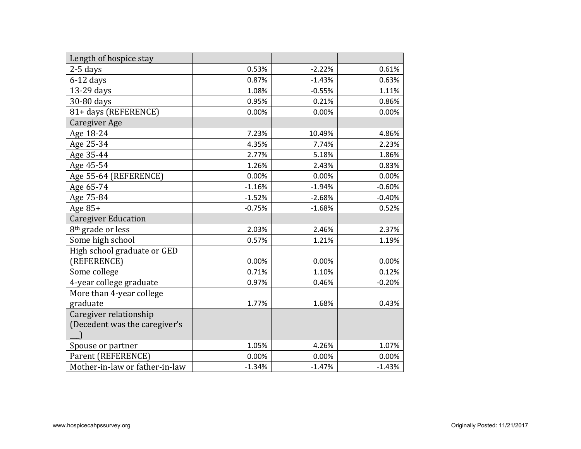| Length of hospice stay         |          |          |          |
|--------------------------------|----------|----------|----------|
| $2-5$ days                     | 0.53%    | $-2.22%$ | 0.61%    |
| $6-12$ days                    | 0.87%    | $-1.43%$ | 0.63%    |
| 13-29 days                     | 1.08%    | $-0.55%$ | 1.11%    |
| 30-80 days                     | 0.95%    | 0.21%    | 0.86%    |
| 81+ days (REFERENCE)           | 0.00%    | 0.00%    | 0.00%    |
| Caregiver Age                  |          |          |          |
| Age 18-24                      | 7.23%    | 10.49%   | 4.86%    |
| Age 25-34                      | 4.35%    | 7.74%    | 2.23%    |
| Age 35-44                      | 2.77%    | 5.18%    | 1.86%    |
| Age 45-54                      | 1.26%    | 2.43%    | 0.83%    |
| Age 55-64 (REFERENCE)          | 0.00%    | 0.00%    | 0.00%    |
| Age 65-74                      | $-1.16%$ | $-1.94%$ | $-0.60%$ |
| Age 75-84                      | $-1.52%$ | $-2.68%$ | $-0.40%$ |
| Age $85+$                      | $-0.75%$ | $-1.68%$ | 0.52%    |
| <b>Caregiver Education</b>     |          |          |          |
| 8 <sup>th</sup> grade or less  | 2.03%    | 2.46%    | 2.37%    |
| Some high school               | 0.57%    | 1.21%    | 1.19%    |
| High school graduate or GED    |          |          |          |
| (REFERENCE)                    | 0.00%    | 0.00%    | 0.00%    |
| Some college                   | 0.71%    | 1.10%    | 0.12%    |
| 4-year college graduate        | 0.97%    | 0.46%    | $-0.20%$ |
| More than 4-year college       |          |          |          |
| graduate                       | 1.77%    | 1.68%    | 0.43%    |
| Caregiver relationship         |          |          |          |
| (Decedent was the caregiver's  |          |          |          |
|                                |          |          |          |
| Spouse or partner              | 1.05%    | 4.26%    | 1.07%    |
| Parent (REFERENCE)             | 0.00%    | 0.00%    | 0.00%    |
| Mother-in-law or father-in-law | $-1.34%$ | $-1.47%$ | $-1.43%$ |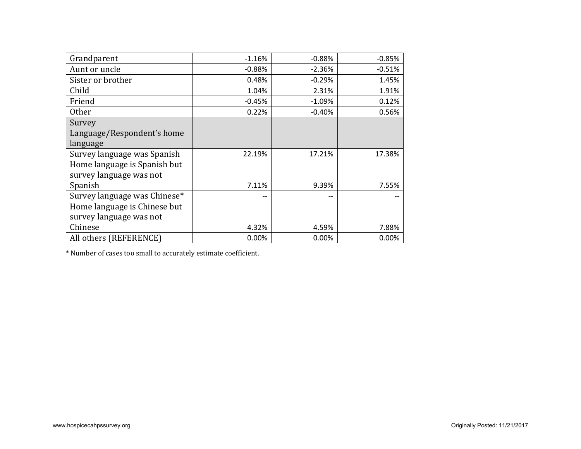| Grandparent                  | $-1.16%$ | $-0.88%$ | $-0.85%$ |
|------------------------------|----------|----------|----------|
| Aunt or uncle                | $-0.88%$ | $-2.36%$ | $-0.51%$ |
| Sister or brother            | 0.48%    | $-0.29%$ | 1.45%    |
| Child                        | 1.04%    | 2.31%    | 1.91%    |
| Friend                       | $-0.45%$ | $-1.09%$ | 0.12%    |
| <b>Other</b>                 | 0.22%    | $-0.40%$ | 0.56%    |
| Survey                       |          |          |          |
| Language/Respondent's home   |          |          |          |
| language                     |          |          |          |
| Survey language was Spanish  | 22.19%   | 17.21%   | 17.38%   |
| Home language is Spanish but |          |          |          |
| survey language was not      |          |          |          |
| Spanish                      | 7.11%    | 9.39%    | 7.55%    |
| Survey language was Chinese* | $-$      | $- -$    |          |
| Home language is Chinese but |          |          |          |
| survey language was not      |          |          |          |
| Chinese                      | 4.32%    | 4.59%    | 7.88%    |
| All others (REFERENCE)       | 0.00%    | 0.00%    | 0.00%    |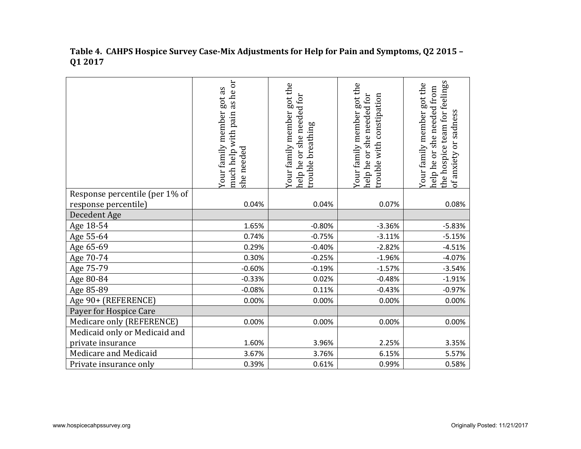|                                | as he or<br>got as<br>Your family member<br>much help with pain<br>needed<br>she <sub>1</sub> | Your family member got the<br>help he or she needed for<br>trouble breathing | Your family member got the<br>trouble with constipation<br>needed for<br>she<br>br<br>help he | the hospice team for feelings<br>Your family member got the<br>she needed from<br>of anxiety or sadness<br>help he or |
|--------------------------------|-----------------------------------------------------------------------------------------------|------------------------------------------------------------------------------|-----------------------------------------------------------------------------------------------|-----------------------------------------------------------------------------------------------------------------------|
| Response percentile (per 1% of |                                                                                               |                                                                              |                                                                                               |                                                                                                                       |
| response percentile)           | 0.04%                                                                                         | 0.04%                                                                        | 0.07%                                                                                         | 0.08%                                                                                                                 |
| Decedent Age                   |                                                                                               |                                                                              |                                                                                               |                                                                                                                       |
| Age 18-54                      | 1.65%                                                                                         | $-0.80%$                                                                     | $-3.36%$                                                                                      | $-5.83%$                                                                                                              |
| Age 55-64                      | 0.74%                                                                                         | $-0.75%$                                                                     | $-3.11%$                                                                                      | $-5.15%$                                                                                                              |
| Age 65-69                      | 0.29%                                                                                         | $-0.40%$                                                                     | $-2.82%$                                                                                      | $-4.51%$                                                                                                              |
| Age 70-74                      | 0.30%                                                                                         | $-0.25%$                                                                     | $-1.96%$                                                                                      | $-4.07%$                                                                                                              |
| Age 75-79                      | $-0.60%$                                                                                      | $-0.19%$                                                                     | $-1.57%$                                                                                      | $-3.54%$                                                                                                              |
| Age 80-84                      | $-0.33%$                                                                                      | 0.02%                                                                        | $-0.48%$                                                                                      | $-1.91%$                                                                                                              |
| Age 85-89                      | $-0.08%$                                                                                      | 0.11%                                                                        | $-0.43%$                                                                                      | $-0.97%$                                                                                                              |
| Age 90+ (REFERENCE)            | 0.00%                                                                                         | 0.00%                                                                        | 0.00%                                                                                         | 0.00%                                                                                                                 |
| Payer for Hospice Care         |                                                                                               |                                                                              |                                                                                               |                                                                                                                       |
| Medicare only (REFERENCE)      | 0.00%                                                                                         | 0.00%                                                                        | 0.00%                                                                                         | 0.00%                                                                                                                 |
| Medicaid only or Medicaid and  |                                                                                               |                                                                              |                                                                                               |                                                                                                                       |
| private insurance              | 1.60%                                                                                         | 3.96%                                                                        | 2.25%                                                                                         | 3.35%                                                                                                                 |
| Medicare and Medicaid          | 3.67%                                                                                         | 3.76%                                                                        | 6.15%                                                                                         | 5.57%                                                                                                                 |
| Private insurance only         | 0.39%                                                                                         | 0.61%                                                                        | 0.99%                                                                                         | 0.58%                                                                                                                 |

**Table 4. CAHPS Hospice Survey Case-Mix Adjustments for Help for Pain and Symptoms, Q2 2015 – Q1 2017**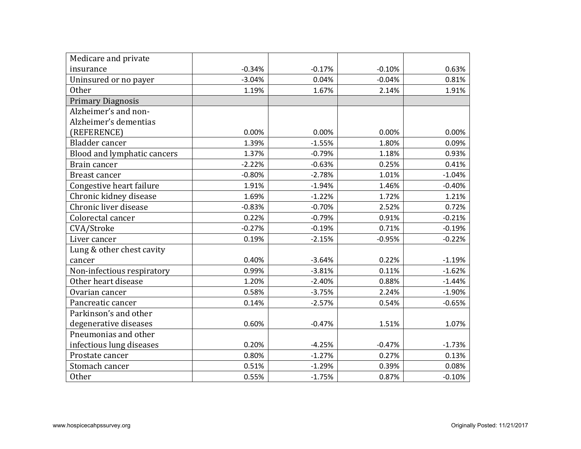| Medicare and private        |          |          |          |          |
|-----------------------------|----------|----------|----------|----------|
| insurance                   | $-0.34%$ | $-0.17%$ | $-0.10%$ | 0.63%    |
| Uninsured or no payer       | $-3.04%$ | 0.04%    | $-0.04%$ | 0.81%    |
| <b>Other</b>                | 1.19%    | 1.67%    | 2.14%    | 1.91%    |
| <b>Primary Diagnosis</b>    |          |          |          |          |
| Alzheimer's and non-        |          |          |          |          |
| Alzheimer's dementias       |          |          |          |          |
| (REFERENCE)                 | 0.00%    | 0.00%    | 0.00%    | 0.00%    |
| Bladder cancer              | 1.39%    | $-1.55%$ | 1.80%    | 0.09%    |
| Blood and lymphatic cancers | 1.37%    | $-0.79%$ | 1.18%    | 0.93%    |
| Brain cancer                | $-2.22%$ | $-0.63%$ | 0.25%    | 0.41%    |
| Breast cancer               | $-0.80%$ | $-2.78%$ | 1.01%    | $-1.04%$ |
| Congestive heart failure    | 1.91%    | $-1.94%$ | 1.46%    | $-0.40%$ |
| Chronic kidney disease      | 1.69%    | $-1.22%$ | 1.72%    | 1.21%    |
| Chronic liver disease       | $-0.83%$ | $-0.70%$ | 2.52%    | 0.72%    |
| Colorectal cancer           | 0.22%    | $-0.79%$ | 0.91%    | $-0.21%$ |
| CVA/Stroke                  | $-0.27%$ | $-0.19%$ | 0.71%    | $-0.19%$ |
| Liver cancer                | 0.19%    | $-2.15%$ | $-0.95%$ | $-0.22%$ |
| Lung & other chest cavity   |          |          |          |          |
| cancer                      | 0.40%    | $-3.64%$ | 0.22%    | $-1.19%$ |
| Non-infectious respiratory  | 0.99%    | $-3.81%$ | 0.11%    | $-1.62%$ |
| Other heart disease         | 1.20%    | $-2.40%$ | 0.88%    | $-1.44%$ |
| Ovarian cancer              | 0.58%    | $-3.75%$ | 2.24%    | $-1.90%$ |
| Pancreatic cancer           | 0.14%    | $-2.57%$ | 0.54%    | $-0.65%$ |
| Parkinson's and other       |          |          |          |          |
| degenerative diseases       | 0.60%    | $-0.47%$ | 1.51%    | 1.07%    |
| Pneumonias and other        |          |          |          |          |
| infectious lung diseases    | 0.20%    | $-4.25%$ | $-0.47%$ | $-1.73%$ |
| Prostate cancer             | 0.80%    | $-1.27%$ | 0.27%    | 0.13%    |
| Stomach cancer              | 0.51%    | $-1.29%$ | 0.39%    | 0.08%    |
| Other                       | 0.55%    | $-1.75%$ | 0.87%    | $-0.10%$ |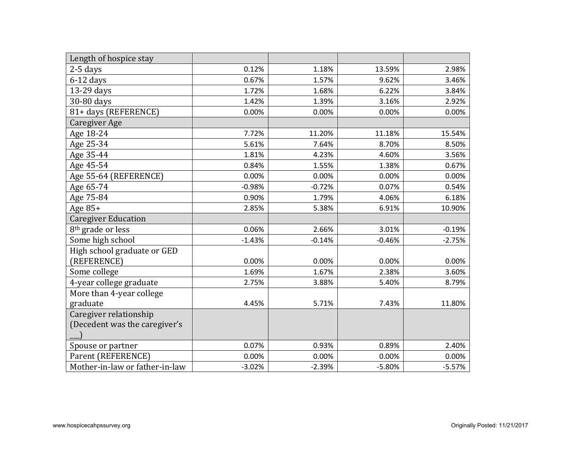| Length of hospice stay         |          |          |          |          |
|--------------------------------|----------|----------|----------|----------|
| $2-5$ days                     | 0.12%    | 1.18%    | 13.59%   | 2.98%    |
| $6-12$ days                    | 0.67%    | 1.57%    | 9.62%    | 3.46%    |
| 13-29 days                     | 1.72%    | 1.68%    | 6.22%    | 3.84%    |
| 30-80 days                     | 1.42%    | 1.39%    | 3.16%    | 2.92%    |
| 81+ days (REFERENCE)           | 0.00%    | 0.00%    | 0.00%    | 0.00%    |
| Caregiver Age                  |          |          |          |          |
| Age 18-24                      | 7.72%    | 11.20%   | 11.18%   | 15.54%   |
| Age 25-34                      | 5.61%    | 7.64%    | 8.70%    | 8.50%    |
| Age 35-44                      | 1.81%    | 4.23%    | 4.60%    | 3.56%    |
| Age 45-54                      | 0.84%    | 1.55%    | 1.38%    | 0.67%    |
| Age 55-64 (REFERENCE)          | 0.00%    | 0.00%    | 0.00%    | 0.00%    |
| Age 65-74                      | $-0.98%$ | $-0.72%$ | 0.07%    | 0.54%    |
| Age 75-84                      | 0.90%    | 1.79%    | 4.06%    | 6.18%    |
| Age 85+                        | 2.85%    | 5.38%    | 6.91%    | 10.90%   |
| <b>Caregiver Education</b>     |          |          |          |          |
| 8 <sup>th</sup> grade or less  | 0.06%    | 2.66%    | 3.01%    | $-0.19%$ |
| Some high school               | $-1.43%$ | $-0.14%$ | $-0.46%$ | $-2.75%$ |
| High school graduate or GED    |          |          |          |          |
| (REFERENCE)                    | 0.00%    | 0.00%    | 0.00%    | 0.00%    |
| Some college                   | 1.69%    | 1.67%    | 2.38%    | 3.60%    |
| 4-year college graduate        | 2.75%    | 3.88%    | 5.40%    | 8.79%    |
| More than 4-year college       |          |          |          |          |
| graduate                       | 4.45%    | 5.71%    | 7.43%    | 11.80%   |
| Caregiver relationship         |          |          |          |          |
| (Decedent was the caregiver's  |          |          |          |          |
|                                |          |          |          |          |
| Spouse or partner              | 0.07%    | 0.93%    | 0.89%    | 2.40%    |
| Parent (REFERENCE)             | 0.00%    | 0.00%    | 0.00%    | 0.00%    |
| Mother-in-law or father-in-law | $-3.02%$ | $-2.39%$ | $-5.80%$ | $-5.57%$ |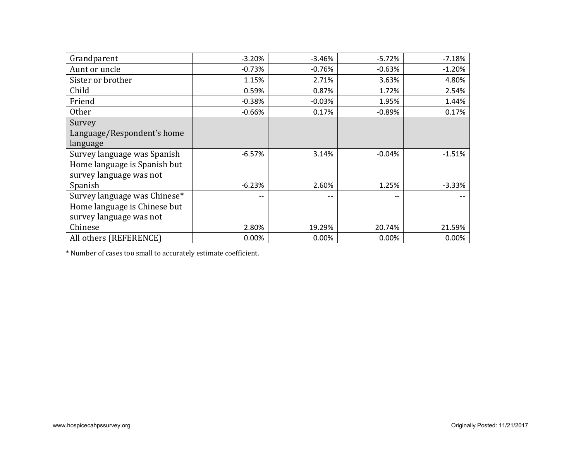| Grandparent                  | $-3.20%$                 | $-3.46%$ | $-5.72%$                 | $-7.18%$ |
|------------------------------|--------------------------|----------|--------------------------|----------|
| Aunt or uncle                | $-0.73%$                 | $-0.76%$ | $-0.63%$                 | $-1.20%$ |
| Sister or brother            | 1.15%                    | 2.71%    | 3.63%                    | 4.80%    |
| Child                        | 0.59%                    | 0.87%    | 1.72%                    | 2.54%    |
| Friend                       | $-0.38%$                 | $-0.03%$ | 1.95%                    | 1.44%    |
| <b>Other</b>                 | $-0.66%$                 | 0.17%    | $-0.89%$                 | 0.17%    |
| Survey                       |                          |          |                          |          |
| Language/Respondent's home   |                          |          |                          |          |
| language                     |                          |          |                          |          |
| Survey language was Spanish  | $-6.57%$                 | 3.14%    | $-0.04%$                 | $-1.51%$ |
| Home language is Spanish but |                          |          |                          |          |
| survey language was not      |                          |          |                          |          |
| Spanish                      | $-6.23%$                 | 2.60%    | 1.25%                    | $-3.33%$ |
| Survey language was Chinese* | $\overline{\phantom{m}}$ | --       | $\overline{\phantom{m}}$ |          |
| Home language is Chinese but |                          |          |                          |          |
| survey language was not      |                          |          |                          |          |
| Chinese                      | 2.80%                    | 19.29%   | 20.74%                   | 21.59%   |
| All others (REFERENCE)       | 0.00%                    | 0.00%    | 0.00%                    | 0.00%    |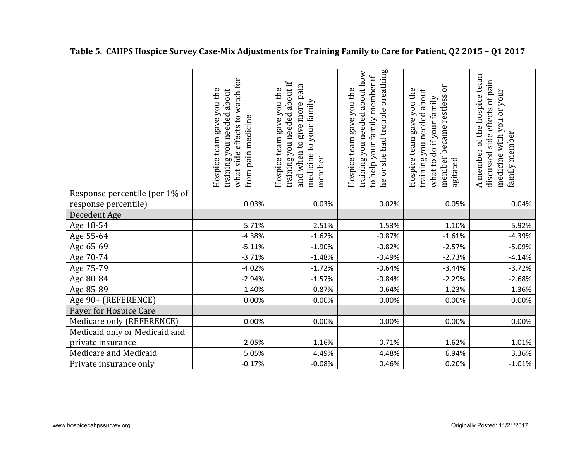|                                | what side effects to watch for<br>Hospice team gave you the<br>training you needed about<br>from pain medicine | training you needed about if<br>give more pain<br>Hospice team gave you the<br>medicine to your family<br>and when to<br>member | he or she had trouble breathing<br>training you needed about how<br>to help your family member if<br>Hospice team gave you the | member became restless or<br>Hospice team gave you the<br>you needed about<br>what to do if your family<br>training<br>agitated | A member of the hospice team<br>discussed side effects of pain<br>medicine with you or your<br>family member |
|--------------------------------|----------------------------------------------------------------------------------------------------------------|---------------------------------------------------------------------------------------------------------------------------------|--------------------------------------------------------------------------------------------------------------------------------|---------------------------------------------------------------------------------------------------------------------------------|--------------------------------------------------------------------------------------------------------------|
| Response percentile (per 1% of |                                                                                                                |                                                                                                                                 |                                                                                                                                |                                                                                                                                 |                                                                                                              |
| response percentile)           | 0.03%                                                                                                          | 0.03%                                                                                                                           | 0.02%                                                                                                                          | 0.05%                                                                                                                           | 0.04%                                                                                                        |
| Decedent Age                   |                                                                                                                |                                                                                                                                 |                                                                                                                                |                                                                                                                                 |                                                                                                              |
| Age 18-54                      | $-5.71%$                                                                                                       | $-2.51%$                                                                                                                        | $-1.53%$                                                                                                                       | $-1.10%$                                                                                                                        | $-5.92%$                                                                                                     |
| Age 55-64                      | $-4.38%$                                                                                                       | $-1.62%$                                                                                                                        | $-0.87%$                                                                                                                       | $-1.61%$                                                                                                                        | $-4.39%$                                                                                                     |
| Age 65-69                      | $-5.11%$                                                                                                       | $-1.90%$                                                                                                                        | $-0.82%$                                                                                                                       | $-2.57%$                                                                                                                        | $-5.09%$                                                                                                     |
| Age 70-74                      | $-3.71%$                                                                                                       | $-1.48%$                                                                                                                        | $-0.49%$                                                                                                                       | $-2.73%$                                                                                                                        | $-4.14%$                                                                                                     |
| Age 75-79                      | $-4.02%$                                                                                                       | $-1.72%$                                                                                                                        | $-0.64%$                                                                                                                       | $-3.44%$                                                                                                                        | $-3.72%$                                                                                                     |
| Age 80-84                      | $-2.94%$                                                                                                       | $-1.57%$                                                                                                                        | $-0.84%$                                                                                                                       | $-2.29%$                                                                                                                        | $-2.68%$                                                                                                     |
| Age 85-89                      | $-1.40%$                                                                                                       | $-0.87%$                                                                                                                        | $-0.64%$                                                                                                                       | $-1.23%$                                                                                                                        | $-1.36%$                                                                                                     |
| Age 90+ (REFERENCE)            | 0.00%                                                                                                          | 0.00%                                                                                                                           | 0.00%                                                                                                                          | 0.00%                                                                                                                           | 0.00%                                                                                                        |
| Payer for Hospice Care         |                                                                                                                |                                                                                                                                 |                                                                                                                                |                                                                                                                                 |                                                                                                              |
| Medicare only (REFERENCE)      | 0.00%                                                                                                          | 0.00%                                                                                                                           | 0.00%                                                                                                                          | 0.00%                                                                                                                           | 0.00%                                                                                                        |
| Medicaid only or Medicaid and  |                                                                                                                |                                                                                                                                 |                                                                                                                                |                                                                                                                                 |                                                                                                              |
| private insurance              | 2.05%                                                                                                          | 1.16%                                                                                                                           | 0.71%                                                                                                                          | 1.62%                                                                                                                           | 1.01%                                                                                                        |
| Medicare and Medicaid          | 5.05%                                                                                                          | 4.49%                                                                                                                           | 4.48%                                                                                                                          | 6.94%                                                                                                                           | 3.36%                                                                                                        |
| Private insurance only         | $-0.17%$                                                                                                       | $-0.08%$                                                                                                                        | 0.46%                                                                                                                          | 0.20%                                                                                                                           | $-1.01%$                                                                                                     |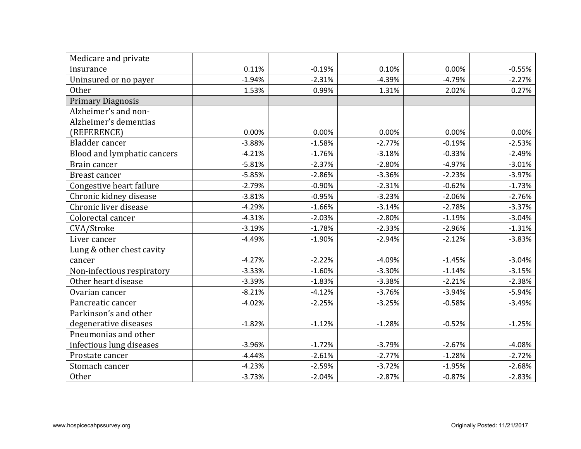| Medicare and private        |          |          |          |          |          |
|-----------------------------|----------|----------|----------|----------|----------|
| insurance                   | 0.11%    | $-0.19%$ | 0.10%    | 0.00%    | $-0.55%$ |
| Uninsured or no payer       | $-1.94%$ | $-2.31%$ | $-4.39%$ | $-4.79%$ | $-2.27%$ |
| <b>Other</b>                | 1.53%    | 0.99%    | 1.31%    | 2.02%    | 0.27%    |
| <b>Primary Diagnosis</b>    |          |          |          |          |          |
| Alzheimer's and non-        |          |          |          |          |          |
| Alzheimer's dementias       |          |          |          |          |          |
| (REFERENCE)                 | 0.00%    | 0.00%    | 0.00%    | 0.00%    | 0.00%    |
| Bladder cancer              | $-3.88%$ | $-1.58%$ | $-2.77%$ | $-0.19%$ | $-2.53%$ |
| Blood and lymphatic cancers | $-4.21%$ | $-1.76%$ | $-3.18%$ | $-0.33%$ | $-2.49%$ |
| Brain cancer                | $-5.81%$ | $-2.37%$ | $-2.80%$ | $-4.97%$ | $-3.01%$ |
| Breast cancer               | $-5.85%$ | $-2.86%$ | $-3.36%$ | $-2.23%$ | $-3.97%$ |
| Congestive heart failure    | $-2.79%$ | $-0.90%$ | $-2.31%$ | $-0.62%$ | $-1.73%$ |
| Chronic kidney disease      | $-3.81%$ | $-0.95%$ | $-3.23%$ | $-2.06%$ | $-2.76%$ |
| Chronic liver disease       | $-4.29%$ | $-1.66%$ | $-3.14%$ | $-2.78%$ | $-3.37%$ |
| Colorectal cancer           | $-4.31%$ | $-2.03%$ | $-2.80%$ | $-1.19%$ | $-3.04%$ |
| CVA/Stroke                  | $-3.19%$ | $-1.78%$ | $-2.33%$ | $-2.96%$ | $-1.31%$ |
| Liver cancer                | $-4.49%$ | $-1.90%$ | $-2.94%$ | $-2.12%$ | $-3.83%$ |
| Lung & other chest cavity   |          |          |          |          |          |
| cancer                      | $-4.27%$ | $-2.22%$ | $-4.09%$ | $-1.45%$ | $-3.04%$ |
| Non-infectious respiratory  | $-3.33%$ | $-1.60%$ | $-3.30%$ | $-1.14%$ | $-3.15%$ |
| Other heart disease         | $-3.39%$ | $-1.83%$ | $-3.38%$ | $-2.21%$ | $-2.38%$ |
| Ovarian cancer              | $-8.21%$ | $-4.12%$ | $-3.76%$ | $-3.94%$ | $-5.94%$ |
| Pancreatic cancer           | $-4.02%$ | $-2.25%$ | $-3.25%$ | $-0.58%$ | $-3.49%$ |
| Parkinson's and other       |          |          |          |          |          |
| degenerative diseases       | $-1.82%$ | $-1.12%$ | $-1.28%$ | $-0.52%$ | $-1.25%$ |
| Pneumonias and other        |          |          |          |          |          |
| infectious lung diseases    | $-3.96%$ | $-1.72%$ | $-3.79%$ | $-2.67%$ | $-4.08%$ |
| Prostate cancer             | $-4.44%$ | $-2.61%$ | $-2.77%$ | $-1.28%$ | $-2.72%$ |
| Stomach cancer              | $-4.23%$ | $-2.59%$ | $-3.72%$ | $-1.95%$ | $-2.68%$ |
| <b>Other</b>                | $-3.73%$ | $-2.04%$ | $-2.87%$ | $-0.87%$ | $-2.83%$ |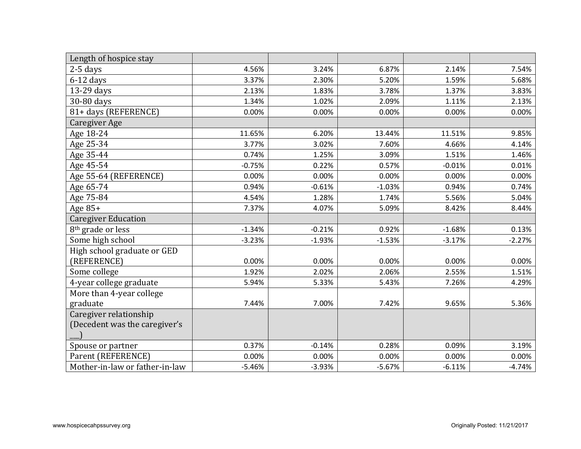| Length of hospice stay         |          |          |          |          |          |
|--------------------------------|----------|----------|----------|----------|----------|
| $2-5$ days                     | 4.56%    | 3.24%    | 6.87%    | 2.14%    | 7.54%    |
| $6-12$ days                    | 3.37%    | 2.30%    | 5.20%    | 1.59%    | 5.68%    |
| 13-29 days                     | 2.13%    | 1.83%    | 3.78%    | 1.37%    | 3.83%    |
| 30-80 days                     | 1.34%    | 1.02%    | 2.09%    | 1.11%    | 2.13%    |
| 81+ days (REFERENCE)           | 0.00%    | 0.00%    | 0.00%    | 0.00%    | 0.00%    |
| Caregiver Age                  |          |          |          |          |          |
| Age 18-24                      | 11.65%   | 6.20%    | 13.44%   | 11.51%   | 9.85%    |
| Age 25-34                      | 3.77%    | 3.02%    | 7.60%    | 4.66%    | 4.14%    |
| Age 35-44                      | 0.74%    | 1.25%    | 3.09%    | 1.51%    | 1.46%    |
| Age 45-54                      | $-0.75%$ | 0.22%    | 0.57%    | $-0.01%$ | 0.01%    |
| Age 55-64 (REFERENCE)          | 0.00%    | 0.00%    | 0.00%    | 0.00%    | 0.00%    |
| Age 65-74                      | 0.94%    | $-0.61%$ | $-1.03%$ | 0.94%    | 0.74%    |
| Age 75-84                      | 4.54%    | 1.28%    | 1.74%    | 5.56%    | 5.04%    |
| Age $85+$                      | 7.37%    | 4.07%    | 5.09%    | 8.42%    | 8.44%    |
| <b>Caregiver Education</b>     |          |          |          |          |          |
| 8 <sup>th</sup> grade or less  | $-1.34%$ | $-0.21%$ | 0.92%    | $-1.68%$ | 0.13%    |
| Some high school               | $-3.23%$ | $-1.93%$ | $-1.53%$ | $-3.17%$ | $-2.27%$ |
| High school graduate or GED    |          |          |          |          |          |
| (REFERENCE)                    | 0.00%    | 0.00%    | 0.00%    | 0.00%    | 0.00%    |
| Some college                   | 1.92%    | 2.02%    | 2.06%    | 2.55%    | 1.51%    |
| 4-year college graduate        | 5.94%    | 5.33%    | 5.43%    | 7.26%    | 4.29%    |
| More than 4-year college       |          |          |          |          |          |
| graduate                       | 7.44%    | 7.00%    | 7.42%    | 9.65%    | 5.36%    |
| Caregiver relationship         |          |          |          |          |          |
| (Decedent was the caregiver's  |          |          |          |          |          |
|                                |          |          |          |          |          |
| Spouse or partner              | 0.37%    | $-0.14%$ | 0.28%    | 0.09%    | 3.19%    |
| Parent (REFERENCE)             | 0.00%    | 0.00%    | 0.00%    | 0.00%    | 0.00%    |
| Mother-in-law or father-in-law | $-5.46%$ | $-3.93%$ | $-5.67%$ | $-6.11%$ | $-4.74%$ |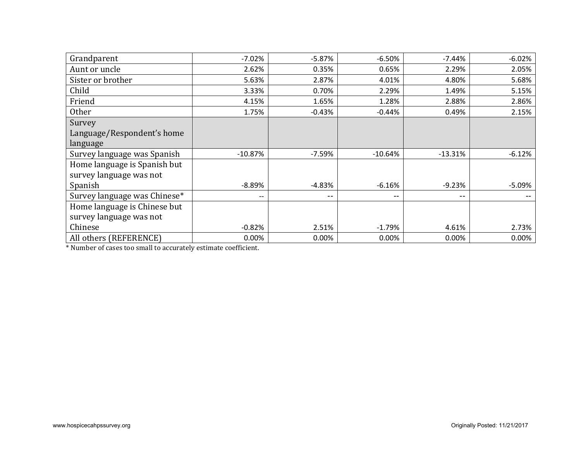| Grandparent                  | $-7.02%$  | $-5.87%$                 | $-6.50%$  | $-7.44%$  | $-6.02%$ |
|------------------------------|-----------|--------------------------|-----------|-----------|----------|
| Aunt or uncle                | 2.62%     | 0.35%                    | 0.65%     | 2.29%     | 2.05%    |
| Sister or brother            | 5.63%     | 2.87%                    | 4.01%     | 4.80%     | 5.68%    |
| Child                        | 3.33%     | 0.70%                    | 2.29%     | 1.49%     | 5.15%    |
| Friend                       | 4.15%     | 1.65%                    | 1.28%     | 2.88%     | 2.86%    |
| <b>Other</b>                 | 1.75%     | $-0.43%$                 | $-0.44%$  | 0.49%     | 2.15%    |
| Survey                       |           |                          |           |           |          |
| Language/Respondent's home   |           |                          |           |           |          |
| language                     |           |                          |           |           |          |
| Survey language was Spanish  | $-10.87%$ | $-7.59%$                 | $-10.64%$ | $-13.31%$ | $-6.12%$ |
| Home language is Spanish but |           |                          |           |           |          |
| survey language was not      |           |                          |           |           |          |
| Spanish                      | $-8.89%$  | $-4.83%$                 | $-6.16%$  | $-9.23%$  | $-5.09%$ |
| Survey language was Chinese* | --        | $\overline{\phantom{m}}$ | $- -$     | $- -$     |          |
| Home language is Chinese but |           |                          |           |           |          |
| survey language was not      |           |                          |           |           |          |
| Chinese                      | $-0.82%$  | 2.51%                    | $-1.79%$  | 4.61%     | 2.73%    |
| All others (REFERENCE)       | 0.00%     | 0.00%                    | 0.00%     | 0.00%     | 0.00%    |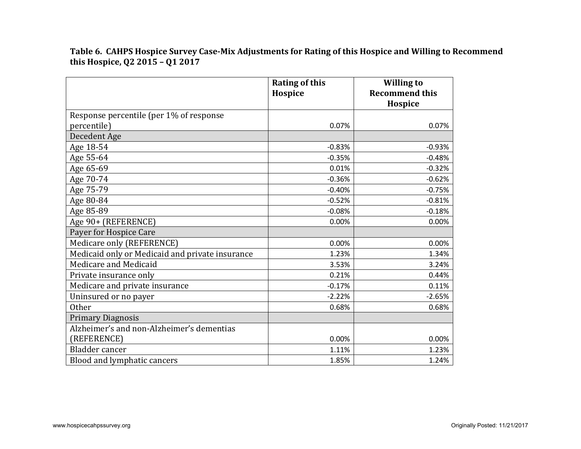**Table 6. CAHPS Hospice Survey Case-Mix Adjustments for Rating of this Hospice and Willing to Recommend this Hospice, Q2 2015 – Q1 2017**

|                                                 | <b>Rating of this</b><br>Hospice | <b>Willing to</b><br><b>Recommend this</b><br>Hospice |
|-------------------------------------------------|----------------------------------|-------------------------------------------------------|
| Response percentile (per 1% of response         |                                  |                                                       |
| percentile)                                     | 0.07%                            | 0.07%                                                 |
| Decedent Age                                    |                                  |                                                       |
| Age 18-54                                       | $-0.83%$                         | $-0.93%$                                              |
| Age 55-64                                       | $-0.35%$                         | $-0.48%$                                              |
| Age 65-69                                       | 0.01%                            | $-0.32%$                                              |
| Age 70-74                                       | $-0.36%$                         | $-0.62%$                                              |
| Age 75-79                                       | $-0.40%$                         | $-0.75%$                                              |
| Age 80-84                                       | $-0.52%$                         | $-0.81%$                                              |
| Age 85-89                                       | $-0.08%$                         | $-0.18%$                                              |
| Age 90+ (REFERENCE)                             | 0.00%                            | 0.00%                                                 |
| Payer for Hospice Care                          |                                  |                                                       |
| Medicare only (REFERENCE)                       | 0.00%                            | 0.00%                                                 |
| Medicaid only or Medicaid and private insurance | 1.23%                            | 1.34%                                                 |
| Medicare and Medicaid                           | 3.53%                            | 3.24%                                                 |
| Private insurance only                          | 0.21%                            | 0.44%                                                 |
| Medicare and private insurance                  | $-0.17%$                         | 0.11%                                                 |
| Uninsured or no payer                           | $-2.22%$                         | $-2.65%$                                              |
| <b>Other</b>                                    | 0.68%                            | 0.68%                                                 |
| <b>Primary Diagnosis</b>                        |                                  |                                                       |
| Alzheimer's and non-Alzheimer's dementias       |                                  |                                                       |
| (REFERENCE)                                     | 0.00%                            | 0.00%                                                 |
| Bladder cancer                                  | 1.11%                            | 1.23%                                                 |
| Blood and lymphatic cancers                     | 1.85%                            | 1.24%                                                 |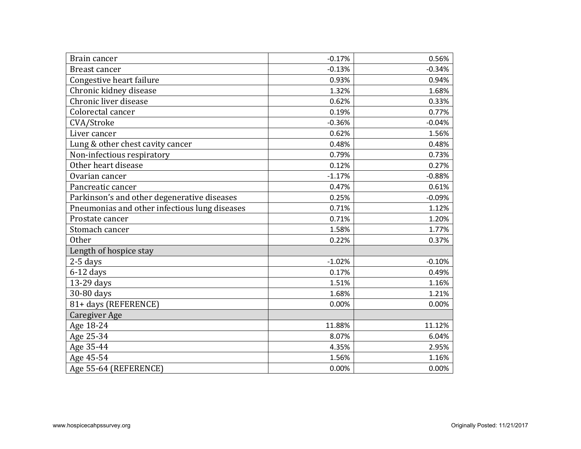| Brain cancer                                  | $-0.17%$ | 0.56%    |
|-----------------------------------------------|----------|----------|
| <b>Breast cancer</b>                          | $-0.13%$ | $-0.34%$ |
| Congestive heart failure                      | 0.93%    | 0.94%    |
| Chronic kidney disease                        | 1.32%    | 1.68%    |
| Chronic liver disease                         | 0.62%    | 0.33%    |
| Colorectal cancer                             | 0.19%    | 0.77%    |
| CVA/Stroke                                    | $-0.36%$ | $-0.04%$ |
| Liver cancer                                  | 0.62%    | 1.56%    |
| Lung & other chest cavity cancer              | 0.48%    | 0.48%    |
| Non-infectious respiratory                    | 0.79%    | 0.73%    |
| Other heart disease                           | 0.12%    | 0.27%    |
| Ovarian cancer                                | $-1.17%$ | $-0.88%$ |
| Pancreatic cancer                             | 0.47%    | 0.61%    |
| Parkinson's and other degenerative diseases   | 0.25%    | $-0.09%$ |
| Pneumonias and other infectious lung diseases | 0.71%    | 1.12%    |
| Prostate cancer                               | 0.71%    | 1.20%    |
| Stomach cancer                                | 1.58%    | 1.77%    |
| <b>Other</b>                                  | 0.22%    | 0.37%    |
| Length of hospice stay                        |          |          |
| 2-5 days                                      | $-1.02%$ | $-0.10%$ |
| $6-12$ days                                   | 0.17%    | 0.49%    |
| 13-29 days                                    | 1.51%    | 1.16%    |
| 30-80 days                                    | 1.68%    | 1.21%    |
| 81+ days (REFERENCE)                          | 0.00%    | 0.00%    |
| <b>Caregiver Age</b>                          |          |          |
| Age 18-24                                     | 11.88%   | 11.12%   |
| Age 25-34                                     | 8.07%    | 6.04%    |
| Age 35-44                                     | 4.35%    | 2.95%    |
| Age 45-54                                     | 1.56%    | 1.16%    |
| Age 55-64 (REFERENCE)                         | 0.00%    | 0.00%    |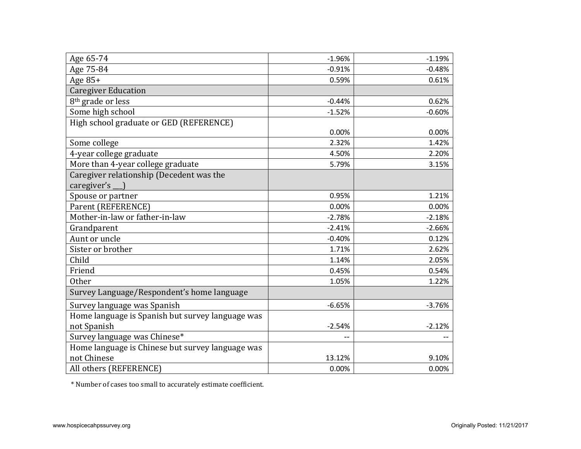| Age 65-74                                               | $-1.96%$ | $-1.19%$ |
|---------------------------------------------------------|----------|----------|
| Age 75-84                                               | $-0.91%$ | $-0.48%$ |
| Age 85+                                                 | 0.59%    | 0.61%    |
| <b>Caregiver Education</b>                              |          |          |
| 8 <sup>th</sup> grade or less                           | $-0.44%$ | 0.62%    |
| Some high school                                        | $-1.52%$ | $-0.60%$ |
| High school graduate or GED (REFERENCE)                 |          |          |
|                                                         | 0.00%    | 0.00%    |
| Some college                                            | 2.32%    | 1.42%    |
| 4-year college graduate                                 | 4.50%    | 2.20%    |
| More than 4-year college graduate                       | 5.79%    | 3.15%    |
| Caregiver relationship (Decedent was the<br>caregiver's |          |          |
| Spouse or partner                                       | 0.95%    | 1.21%    |
| Parent (REFERENCE)                                      | 0.00%    |          |
| Mother-in-law or father-in-law                          | $-2.78%$ | 0.00%    |
|                                                         |          | $-2.18%$ |
| Grandparent                                             | $-2.41%$ | $-2.66%$ |
| Aunt or uncle                                           | $-0.40%$ | 0.12%    |
| Sister or brother                                       | 1.71%    | 2.62%    |
| Child                                                   | 1.14%    | 2.05%    |
| Friend                                                  | 0.45%    | 0.54%    |
| <b>Other</b>                                            | 1.05%    | 1.22%    |
| Survey Language/Respondent's home language              |          |          |
| Survey language was Spanish                             | $-6.65%$ | $-3.76%$ |
| Home language is Spanish but survey language was        |          |          |
| not Spanish                                             | $-2.54%$ | $-2.12%$ |
| Survey language was Chinese*                            |          |          |
| Home language is Chinese but survey language was        |          |          |
| not Chinese                                             | 13.12%   | 9.10%    |
| All others (REFERENCE)                                  | 0.00%    | 0.00%    |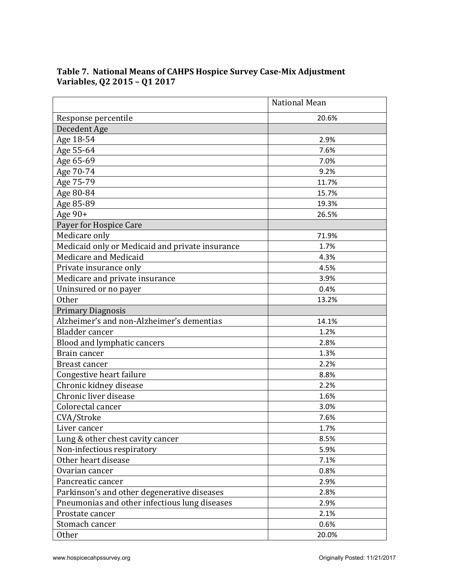|                                                 | <b>National Mean</b> |
|-------------------------------------------------|----------------------|
| Response percentile                             | 20.6%                |
| Decedent Age                                    |                      |
| Age 18-54                                       | 2.9%                 |
| Age 55-64                                       | 7.6%                 |
| Age 65-69                                       | 7.0%                 |
| Age 70-74                                       | 9.2%                 |
| Age 75-79                                       | 11.7%                |
| Age 80-84                                       | 15.7%                |
| Age 85-89                                       | 19.3%                |
| Age $90+$                                       | 26.5%                |
| Payer for Hospice Care                          |                      |
| Medicare only                                   | 71.9%                |
| Medicaid only or Medicaid and private insurance | 1.7%                 |
| Medicare and Medicaid                           | 4.3%                 |
| Private insurance only                          | 4.5%                 |
| Medicare and private insurance                  | 3.9%                 |
| Uninsured or no payer                           | 0.4%                 |
| Other                                           | 13.2%                |
| <b>Primary Diagnosis</b>                        |                      |
| Alzheimer's and non-Alzheimer's dementias       | 14.1%                |
| Bladder cancer                                  | 1.2%                 |
| Blood and lymphatic cancers                     | 2.8%                 |
| Brain cancer                                    | 1.3%                 |
| <b>Breast cancer</b>                            | 2.2%                 |
| Congestive heart failure                        | 8.8%                 |
| Chronic kidney disease                          | 2.2%                 |
| Chronic liver disease                           | 1.6%                 |
| Colorectal cancer                               | 3.0%                 |
| CVA/Stroke                                      | 7.6%                 |
| Liver cancer                                    | 1.7%                 |
| Lung & other chest cavity cancer                | 8.5%                 |
| Non-infectious respiratory                      | 5.9%                 |
| Other heart disease                             | 7.1%                 |
| Ovarian cancer                                  | 0.8%                 |
| Pancreatic cancer                               | 2.9%                 |
| Parkinson's and other degenerative diseases     | 2.8%                 |
| Pneumonias and other infectious lung diseases   | 2.9%                 |
| Prostate cancer                                 | 2.1%                 |
| Stomach cancer                                  | 0.6%                 |
| <b>Other</b>                                    | 20.0%                |

# **Table 7. National Means of CAHPS Hospice Survey Case-Mix Adjustment Variables, Q2 2015 – Q1 2017**